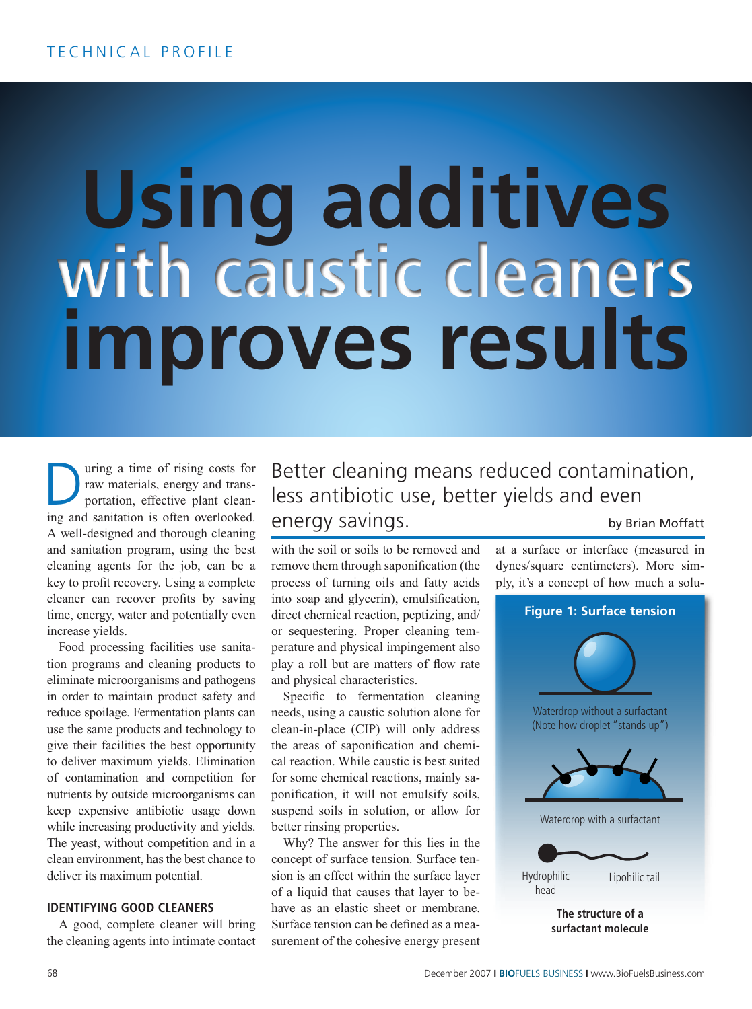## **Using additives improves results with caustic cleaners**

uring a time of rising costs for raw materials, energy and transportation, effective plant clean-Implementation is of rising costs for raw materials, energy and transportation, effective plant cleaning and sanitation is often overlooked. A well-designed and thorough cleaning and sanitation program, using the best cleaning agents for the job, can be a key to profit recovery. Using a complete cleaner can recover profits by saving time, energy, water and potentially even increase yields.

Food processing facilities use sanitation programs and cleaning products to eliminate microorganisms and pathogens in order to maintain product safety and reduce spoilage. Fermentation plants can use the same products and technology to give their facilities the best opportunity to deliver maximum yields. Elimination of contamination and competition for nutrients by outside microorganisms can keep expensive antibiotic usage down while increasing productivity and yields. The yeast, without competition and in a clean environment, has the best chance to deliver its maximum potential.

## **Identifying good cleaners**

A good, complete cleaner will bring the cleaning agents into intimate contact Better cleaning means reduced contamination, less antibiotic use, better yields and even energy savings. by Brian Moffatt

with the soil or soils to be removed and remove them through saponification (the process of turning oils and fatty acids into soap and glycerin), emulsification, direct chemical reaction, peptizing, and/ or sequestering. Proper cleaning temperature and physical impingement also play a roll but are matters of flow rate and physical characteristics.

Specific to fermentation cleaning needs, using a caustic solution alone for clean-in-place (CIP) will only address the areas of saponification and chemical reaction. While caustic is best suited for some chemical reactions, mainly saponification, it will not emulsify soils, suspend soils in solution, or allow for better rinsing properties.

Why? The answer for this lies in the concept of surface tension. Surface tension is an effect within the surface layer of a liquid that causes that layer to behave as an elastic sheet or membrane. Surface tension can be defined as a measurement of the cohesive energy present

at a surface or interface (measured in dynes/square centimeters). More simply, it's a concept of how much a solu-